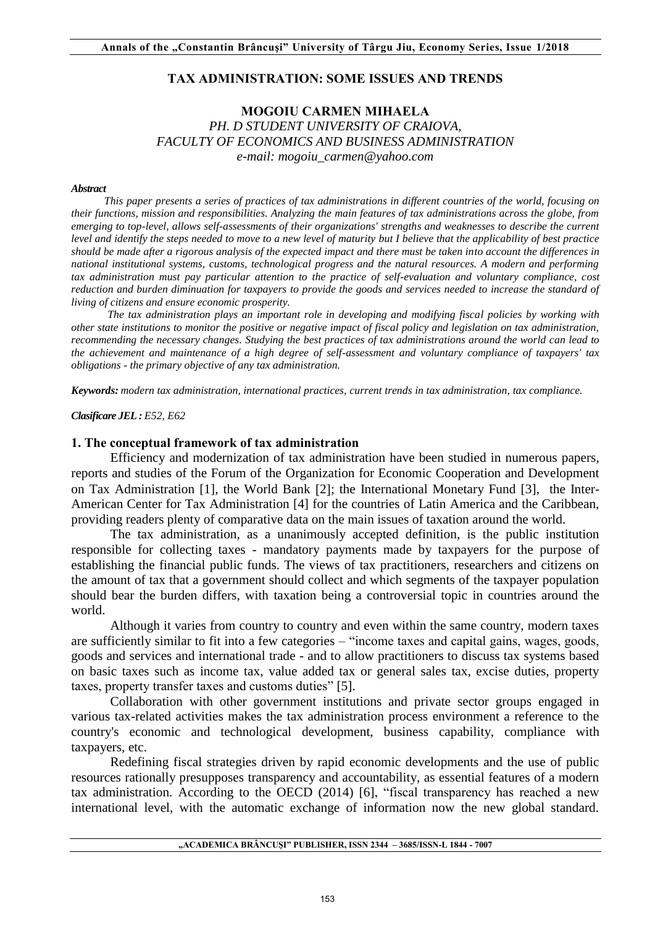### **TAX ADMINISTRATION: SOME ISSUES AND TRENDS**

## **MOGOIU CARMEN MIHAELA**  *PH. D STUDENT UNIVERSITY OF CRAIOVA, FACULTY OF ECONOMICS AND BUSINESS ADMINISTRATION e-mail: mogoiu\_carmen@yahoo.com*

#### *Abstract*

*This paper presents a series of practices of tax administrations in different countries of the world, focusing on their functions, mission and responsibilities. Analyzing the main features of tax administrations across the globe, from emerging to top-level, allows self-assessments of their organizations' strengths and weaknesses to describe the current level and identify the steps needed to move to a new level of maturity but I believe that the applicability of best practice should be made after a rigorous analysis of the expected impact and there must be taken into account the differences in national institutional systems, customs, technological progress and the natural resources. A modern and performing tax administration must pay particular attention to the practice of self-evaluation and voluntary compliance, cost reduction and burden diminuation for taxpayers to provide the goods and services needed to increase the standard of living of citizens and ensure economic prosperity.* 

 *The tax administration plays an important role in developing and modifying fiscal policies by working with other state institutions to monitor the positive or negative impact of fiscal policy and legislation on tax administration, recommending the necessary changes. Studying the best practices of tax administrations around the world can lead to the achievement and maintenance of a high degree of self-assessment and voluntary compliance of taxpayers' tax obligations - the primary objective of any tax administration.* 

*Keywords: modern tax administration, international practices, current trends in tax administration, tax compliance.* 

*Clasificare JEL : E52, E62* 

#### **1. The conceptual framework of tax administration**

 Efficiency and modernization of tax administration have been studied in numerous papers, reports and studies of the Forum of the Organization for Economic Cooperation and Development on Tax Administration [1], the World Bank [2]; the International Monetary Fund [3], the Inter-American Center for Tax Administration [4] for the countries of Latin America and the Caribbean, providing readers plenty of comparative data on the main issues of taxation around the world.

The tax administration, as a unanimously accepted definition, is the public institution responsible for collecting taxes - mandatory payments made by taxpayers for the purpose of establishing the financial public funds. The views of tax practitioners, researchers and citizens on the amount of tax that a government should collect and which segments of the taxpayer population should bear the burden differs, with taxation being a controversial topic in countries around the world.

 Although it varies from country to country and even within the same country, modern taxes are sufficiently similar to fit into a few categories – "income taxes and capital gains, wages, goods, goods and services and international trade - and to allow practitioners to discuss tax systems based on basic taxes such as income tax, value added tax or general sales tax, excise duties, property taxes, property transfer taxes and customs duties" [5].

 Collaboration with other government institutions and private sector groups engaged in various tax-related activities makes the tax administration process environment a reference to the country's economic and technological development, business capability, compliance with taxpayers, etc.

 Redefining fiscal strategies driven by rapid economic developments and the use of public resources rationally presupposes transparency and accountability, as essential features of a modern tax administration. According to the OECD (2014) [6], "fiscal transparency has reached a new international level, with the automatic exchange of information now the new global standard.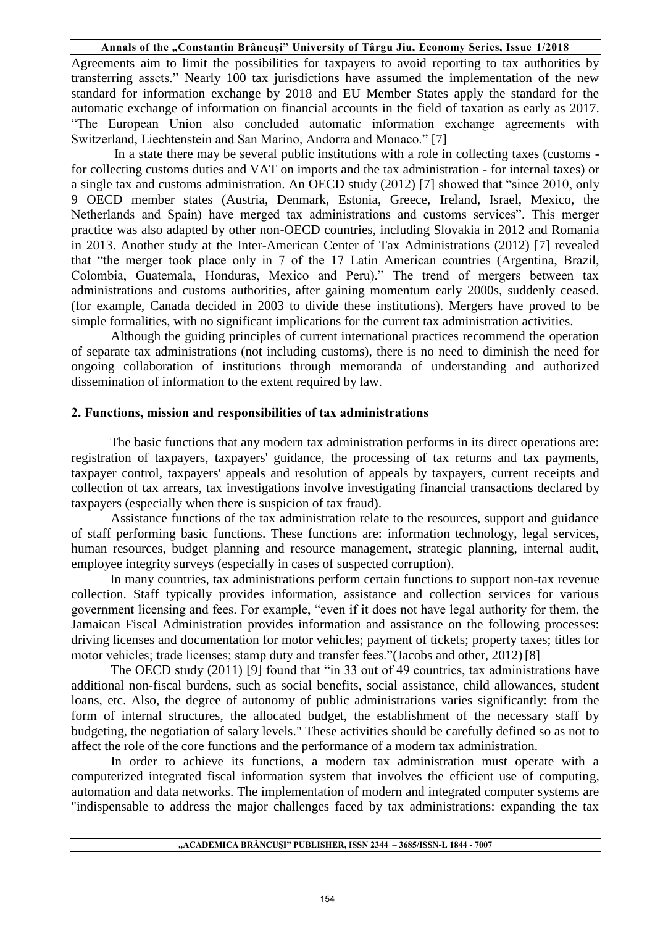Agreements aim to limit the possibilities for taxpayers to avoid reporting to tax authorities by transferring assets." Nearly 100 tax jurisdictions have assumed the implementation of the new standard for information exchange by 2018 and EU Member States apply the standard for the automatic exchange of information on financial accounts in the field of taxation as early as 2017. "The European Union also concluded automatic information exchange agreements with Switzerland, Liechtenstein and San Marino, Andorra and Monaco." [7]

 In a state there may be several public institutions with a role in collecting taxes (customs for collecting customs duties and VAT on imports and the tax administration - for internal taxes) or a single tax and customs administration. An OECD study (2012) [7] showed that "since 2010, only 9 OECD member states (Austria, Denmark, Estonia, Greece, Ireland, Israel, Mexico, the Netherlands and Spain) have merged tax administrations and customs services". This merger practice was also adapted by other non-OECD countries, including Slovakia in 2012 and Romania in 2013. Another study at the Inter-American Center of Tax Administrations (2012) [7] revealed that "the merger took place only in 7 of the 17 Latin American countries (Argentina, Brazil, Colombia, Guatemala, Honduras, Mexico and Peru)." The trend of mergers between tax administrations and customs authorities, after gaining momentum early 2000s, suddenly ceased. (for example, Canada decided in 2003 to divide these institutions). Mergers have proved to be simple formalities, with no significant implications for the current tax administration activities.

Although the guiding principles of current international practices recommend the operation of separate tax administrations (not including customs), there is no need to diminish the need for ongoing collaboration of institutions through memoranda of understanding and authorized dissemination of information to the extent required by law.

### **2. Functions, mission and responsibilities of tax administrations**

 The basic functions that any modern tax administration performs in its direct operations are: registration of taxpayers, taxpayers' guidance, the processing of tax returns and tax payments, taxpayer control, taxpayers' appeals and resolution of appeals by taxpayers, current receipts and collection of tax arrears, tax investigations involve investigating financial transactions declared by taxpayers (especially when there is suspicion of tax fraud).

Assistance functions of the tax administration relate to the resources, support and guidance of staff performing basic functions. These functions are: information technology, legal services, human resources, budget planning and resource management, strategic planning, internal audit, employee integrity surveys (especially in cases of suspected corruption).

 In many countries, tax administrations perform certain functions to support non-tax revenue collection. Staff typically provides information, assistance and collection services for various government licensing and fees. For example, "even if it does not have legal authority for them, the Jamaican Fiscal Administration provides information and assistance on the following processes: driving licenses and documentation for motor vehicles; payment of tickets; property taxes; titles for motor vehicles; trade licenses; stamp duty and transfer fees."(Jacobs and other, 2012) [8]

The OECD study (2011) [9] found that "in 33 out of 49 countries, tax administrations have additional non-fiscal burdens, such as social benefits, social assistance, child allowances, student loans, etc. Also, the degree of autonomy of public administrations varies significantly: from the form of internal structures, the allocated budget, the establishment of the necessary staff by budgeting, the negotiation of salary levels." These activities should be carefully defined so as not to affect the role of the core functions and the performance of a modern tax administration.

In order to achieve its functions, a modern tax administration must operate with a computerized integrated fiscal information system that involves the efficient use of computing, automation and data networks. The implementation of modern and integrated computer systems are "indispensable to address the major challenges faced by tax administrations: expanding the tax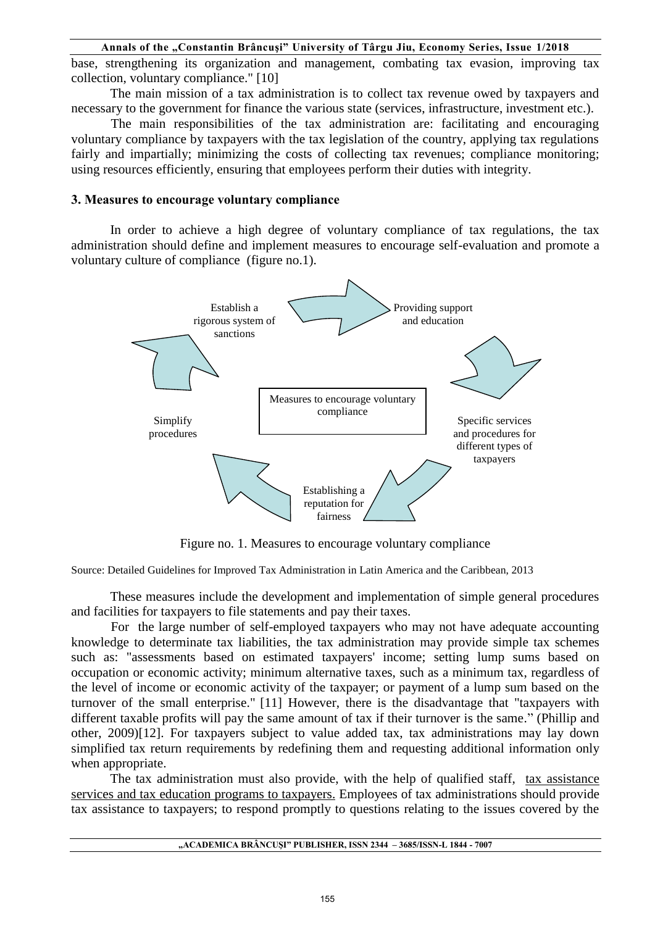base, strengthening its organization and management, combating tax evasion, improving tax collection, voluntary compliance." [10]

The main mission of a tax administration is to collect tax revenue owed by taxpayers and necessary to the government for finance the various state (services, infrastructure, investment etc.).

The main responsibilities of the tax administration are: facilitating and encouraging voluntary compliance by taxpayers with the tax legislation of the country, applying tax regulations fairly and impartially; minimizing the costs of collecting tax revenues; compliance monitoring; using resources efficiently, ensuring that employees perform their duties with integrity.

#### **3. Measures to encourage voluntary compliance**

In order to achieve a high degree of voluntary compliance of tax regulations, the tax administration should define and implement measures to encourage self-evaluation and promote a voluntary culture of compliance (figure no.1).



Figure no. 1. Measures to encourage voluntary compliance

Source: Detailed Guidelines for Improved Tax Administration in Latin America and the Caribbean, 2013

 These measures include the development and implementation of simple general procedures and facilities for taxpayers to file statements and pay their taxes.

For the large number of self-employed taxpayers who may not have adequate accounting knowledge to determinate tax liabilities, the tax administration may provide simple tax schemes such as: "assessments based on estimated taxpayers' income; setting lump sums based on occupation or economic activity; minimum alternative taxes, such as a minimum tax, regardless of the level of income or economic activity of the taxpayer; or payment of a lump sum based on the turnover of the small enterprise." [11] However, there is the disadvantage that "taxpayers with different taxable profits will pay the same amount of tax if their turnover is the same." (Phillip and other, 2009)[12]. For taxpayers subject to value added tax, tax administrations may lay down simplified tax return requirements by redefining them and requesting additional information only when appropriate.

 The tax administration must also provide, with the help of qualified staff, tax assistance services and tax education programs to taxpayers. Employees of tax administrations should provide tax assistance to taxpayers; to respond promptly to questions relating to the issues covered by the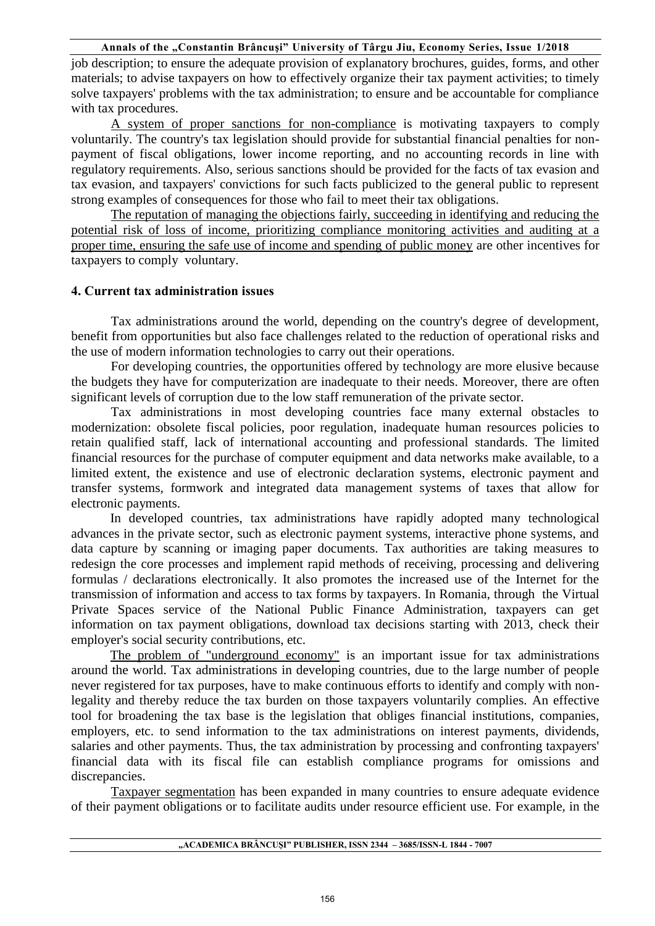job description; to ensure the adequate provision of explanatory brochures, guides, forms, and other materials; to advise taxpayers on how to effectively organize their tax payment activities; to timely solve taxpayers' problems with the tax administration; to ensure and be accountable for compliance with tax procedures.

A system of proper sanctions for non-compliance is motivating taxpayers to comply voluntarily. The country's tax legislation should provide for substantial financial penalties for nonpayment of fiscal obligations, lower income reporting, and no accounting records in line with regulatory requirements. Also, serious sanctions should be provided for the facts of tax evasion and tax evasion, and taxpayers' convictions for such facts publicized to the general public to represent strong examples of consequences for those who fail to meet their tax obligations.

The reputation of managing the objections fairly, succeeding in identifying and reducing the potential risk of loss of income, prioritizing compliance monitoring activities and auditing at a proper time, ensuring the safe use of income and spending of public money are other incentives for taxpayers to comply voluntary.

### **4. Current tax administration issues**

Tax administrations around the world, depending on the country's degree of development, benefit from opportunities but also face challenges related to the reduction of operational risks and the use of modern information technologies to carry out their operations.

For developing countries, the opportunities offered by technology are more elusive because the budgets they have for computerization are inadequate to their needs. Moreover, there are often significant levels of corruption due to the low staff remuneration of the private sector.

Tax administrations in most developing countries face many external obstacles to modernization: obsolete fiscal policies, poor regulation, inadequate human resources policies to retain qualified staff, lack of international accounting and professional standards. The limited financial resources for the purchase of computer equipment and data networks make available, to a limited extent, the existence and use of electronic declaration systems, electronic payment and transfer systems, formwork and integrated data management systems of taxes that allow for electronic payments.

 In developed countries, tax administrations have rapidly adopted many technological advances in the private sector, such as electronic payment systems, interactive phone systems, and data capture by scanning or imaging paper documents. Tax authorities are taking measures to redesign the core processes and implement rapid methods of receiving, processing and delivering formulas / declarations electronically. It also promotes the increased use of the Internet for the transmission of information and access to tax forms by taxpayers. In Romania, through the Virtual Private Spaces service of the National Public Finance Administration, taxpayers can get information on tax payment obligations, download tax decisions starting with 2013, check their employer's social security contributions, etc.

 The problem of "underground economy" is an important issue for tax administrations around the world. Tax administrations in developing countries, due to the large number of people never registered for tax purposes, have to make continuous efforts to identify and comply with nonlegality and thereby reduce the tax burden on those taxpayers voluntarily complies. An effective tool for broadening the tax base is the legislation that obliges financial institutions, companies, employers, etc. to send information to the tax administrations on interest payments, dividends, salaries and other payments. Thus, the tax administration by processing and confronting taxpayers' financial data with its fiscal file can establish compliance programs for omissions and discrepancies.

Taxpayer segmentation has been expanded in many countries to ensure adequate evidence of their payment obligations or to facilitate audits under resource efficient use. For example, in the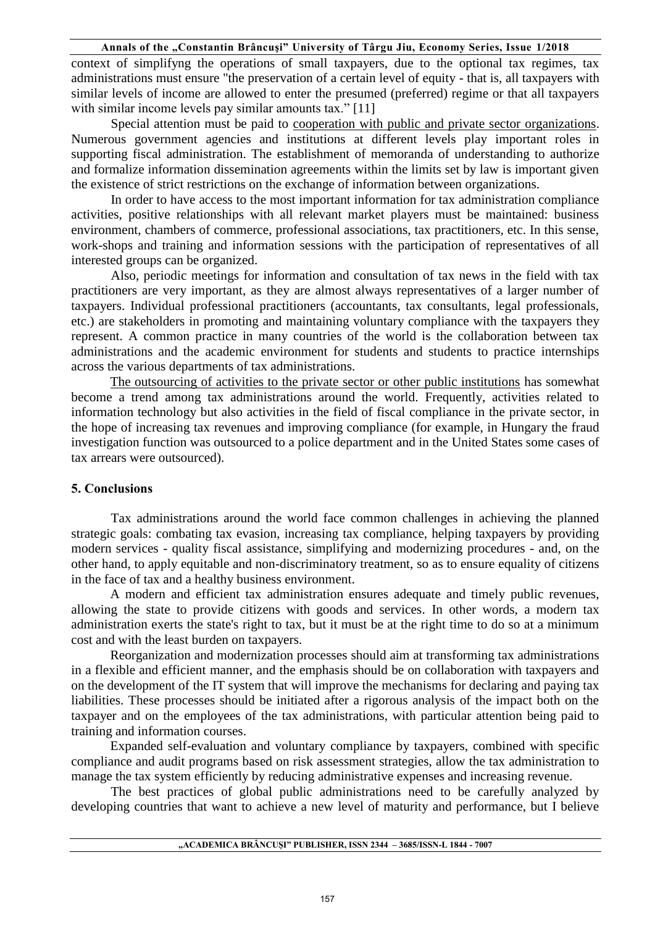context of simplifyng the operations of small taxpayers, due to the optional tax regimes, tax administrations must ensure "the preservation of a certain level of equity - that is, all taxpayers with similar levels of income are allowed to enter the presumed (preferred) regime or that all taxpayers with similar income levels pay similar amounts tax." [11]

Special attention must be paid to cooperation with public and private sector organizations. Numerous government agencies and institutions at different levels play important roles in supporting fiscal administration. The establishment of memoranda of understanding to authorize and formalize information dissemination agreements within the limits set by law is important given the existence of strict restrictions on the exchange of information between organizations.

In order to have access to the most important information for tax administration compliance activities, positive relationships with all relevant market players must be maintained: business environment, chambers of commerce, professional associations, tax practitioners, etc. In this sense, work-shops and training and information sessions with the participation of representatives of all interested groups can be organized.

Also, periodic meetings for information and consultation of tax news in the field with tax practitioners are very important, as they are almost always representatives of a larger number of taxpayers. Individual professional practitioners (accountants, tax consultants, legal professionals, etc.) are stakeholders in promoting and maintaining voluntary compliance with the taxpayers they represent. A common practice in many countries of the world is the collaboration between tax administrations and the academic environment for students and students to practice internships across the various departments of tax administrations.

 The outsourcing of activities to the private sector or other public institutions has somewhat become a trend among tax administrations around the world. Frequently, activities related to information technology but also activities in the field of fiscal compliance in the private sector, in the hope of increasing tax revenues and improving compliance (for example, in Hungary the fraud investigation function was outsourced to a police department and in the United States some cases of tax arrears were outsourced).

#### **5. Conclusions**

Tax administrations around the world face common challenges in achieving the planned strategic goals: combating tax evasion, increasing tax compliance, helping taxpayers by providing modern services - quality fiscal assistance, simplifying and modernizing procedures - and, on the other hand, to apply equitable and non-discriminatory treatment, so as to ensure equality of citizens in the face of tax and a healthy business environment.

A modern and efficient tax administration ensures adequate and timely public revenues, allowing the state to provide citizens with goods and services. In other words, a modern tax administration exerts the state's right to tax, but it must be at the right time to do so at a minimum cost and with the least burden on taxpayers.

Reorganization and modernization processes should aim at transforming tax administrations in a flexible and efficient manner, and the emphasis should be on collaboration with taxpayers and on the development of the IT system that will improve the mechanisms for declaring and paying tax liabilities. These processes should be initiated after a rigorous analysis of the impact both on the taxpayer and on the employees of the tax administrations, with particular attention being paid to training and information courses.

Expanded self-evaluation and voluntary compliance by taxpayers, combined with specific compliance and audit programs based on risk assessment strategies, allow the tax administration to manage the tax system efficiently by reducing administrative expenses and increasing revenue.

The best practices of global public administrations need to be carefully analyzed by developing countries that want to achieve a new level of maturity and performance, but I believe